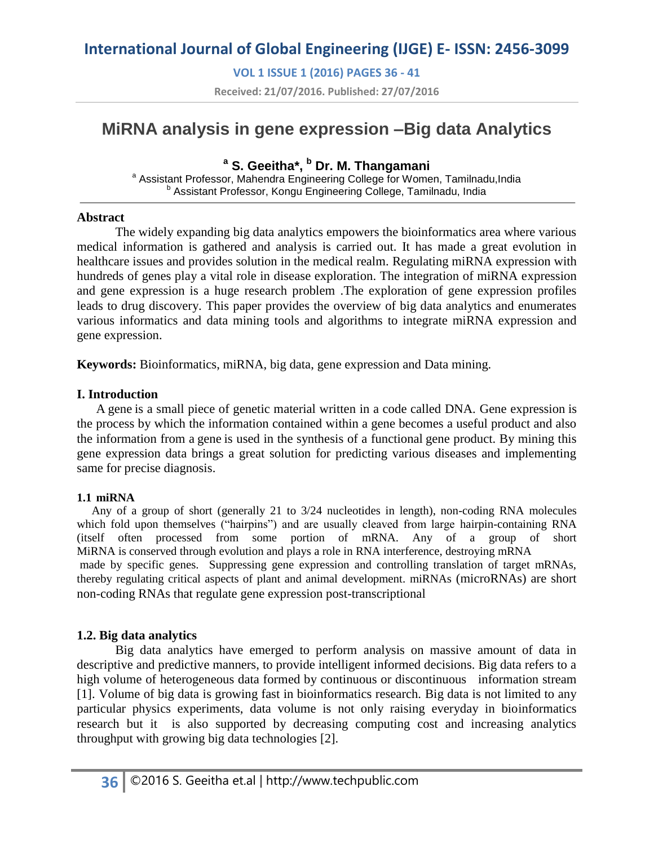**VOL 1 ISSUE 1 (2016) PAGES 36 - 41**

**Received: 21/07/2016. Published: 27/07/2016**

# **MiRNA analysis in gene expression –Big data Analytics**

## **<sup>a</sup> S. Geeitha\*, <sup>b</sup> Dr. M. Thangamani**

a Assistant Professor, Mahendra Engineering College for Women, Tamilnadu, India <sup>b</sup> Assistant Professor, Kongu Engineering College, Tamilnadu, India

#### **Abstract**

The widely expanding big data analytics empowers the bioinformatics area where various medical information is gathered and analysis is carried out. It has made a great evolution in healthcare issues and provides solution in the medical realm. Regulating miRNA expression with hundreds of genes play a vital role in disease exploration. The integration of miRNA expression and gene expression is a huge research problem .The exploration of gene expression profiles leads to drug discovery. This paper provides the overview of big data analytics and enumerates various informatics and data mining tools and algorithms to integrate miRNA expression and gene expression.

**Keywords:** Bioinformatics, miRNA, big data, gene expression and Data mining.

### **I. Introduction**

A gene is a small piece of genetic material written in a code called DNA. Gene expression is the process by which the information contained within a gene becomes a useful product and also the information from a gene is used in the synthesis of a functional gene product. By mining this gene expression data brings a great solution for predicting various diseases and implementing same for precise diagnosis.

#### **1.1 miRNA**

 Any of a group of short (generally 21 to 3/24 nucleotides in length), non-coding RNA molecules which fold upon themselves ("hairpins") and are usually cleaved from large hairpin-containing RNA (itself often processed from some portion of mRNA. Any of a group of short MiRNA is conserved through evolution and plays a role in RNA interference, destroying mRNA made by specific genes. Suppressing gene expression and controlling translation of target mRNAs, thereby regulating critical aspects of plant and animal development. miRNAs (microRNAs) are short non-coding RNAs that regulate gene expression post-transcriptional

### **1.2. Big data analytics**

Big data analytics have emerged to perform analysis on massive amount of data in descriptive and predictive manners, to provide intelligent informed decisions. Big data refers to a high volume of heterogeneous data formed by continuous or discontinuous information stream [1]. Volume of big data is growing fast in bioinformatics research. Big data is not limited to any particular physics experiments, data volume is not only raising everyday in bioinformatics research but it is also supported by decreasing computing cost and increasing analytics throughput with growing big data technologies [2].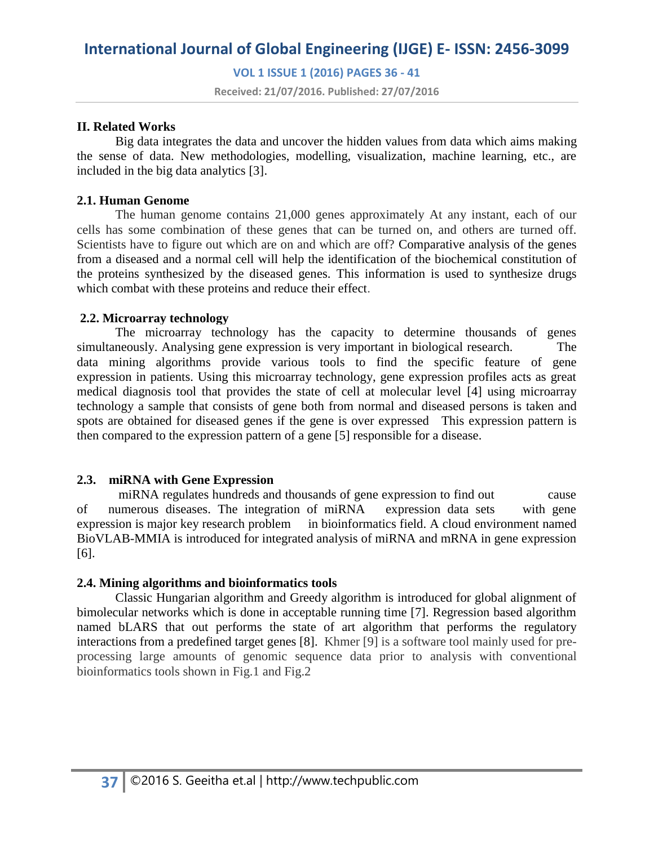**VOL 1 ISSUE 1 (2016) PAGES 36 - 41**

**Received: 21/07/2016. Published: 27/07/2016**

#### **II. Related Works**

Big data integrates the data and uncover the hidden values from data which aims making the sense of data. New methodologies, modelling, visualization, machine learning, etc., are included in the big data analytics [3].

### **2.1. Human Genome**

The human genome contains 21,000 genes approximately At any instant, each of our cells has some combination of these genes that can be turned on, and others are turned off. Scientists have to figure out which are on and which are off? Comparative analysis of the genes from a diseased and a normal cell will help the identification of the biochemical constitution of the proteins synthesized by the diseased genes. This information is used to synthesize drugs which combat with these proteins and reduce their effect.

#### **2.2. Microarray technology**

The microarray technology has the capacity to determine thousands of genes simultaneously. Analysing gene expression is very important in biological research. The data mining algorithms provide various tools to find the specific feature of gene expression in patients. Using this microarray technology, gene expression profiles acts as great medical diagnosis tool that provides the state of cell at molecular level [4] using microarray technology a sample that consists of gene both from normal and diseased persons is taken and spots are obtained for diseased genes if the gene is over expressed This expression pattern is then compared to the expression pattern of a gene [5] responsible for a disease.

### **2.3. miRNA with Gene Expression**

miRNA regulates hundreds and thousands of gene expression to find out cause of numerous diseases. The integration of miRNA expression data sets with gene expression is major key research problem in bioinformatics field. A cloud environment named BioVLAB-MMIA is introduced for integrated analysis of miRNA and mRNA in gene expression [6].

### **2.4. Mining algorithms and bioinformatics tools**

Classic Hungarian algorithm and Greedy algorithm is introduced for global alignment of bimolecular networks which is done in acceptable running time [7]. Regression based algorithm named bLARS that out performs the state of art algorithm that performs the regulatory interactions from a predefined target genes [8]. Khmer [9] is a software tool mainly used for preprocessing large amounts of genomic sequence data prior to analysis with conventional bioinformatics tools shown in Fig.1 and Fig.2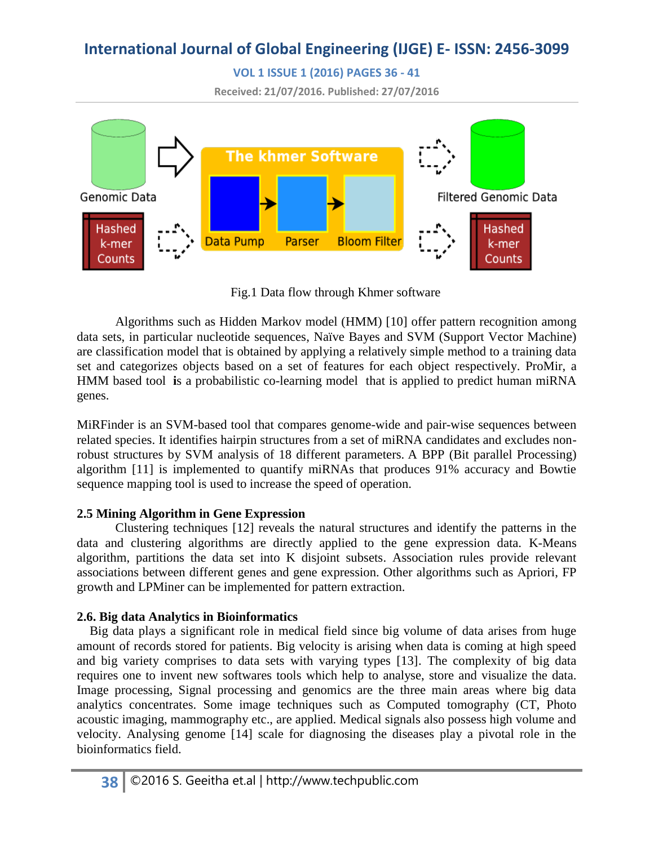**VOL 1 ISSUE 1 (2016) PAGES 36 - 41**

**Received: 21/07/2016. Published: 27/07/2016**



Fig.1 Data flow through Khmer software

Algorithms such as Hidden Markov model (HMM) [10] offer pattern recognition among data sets, in particular nucleotide sequences, Naïve Bayes and SVM (Support Vector Machine) are classification model that is obtained by applying a relatively simple method to a training data set and categorizes objects based on a set of features for each object respectively. ProMir, a HMM based tool **i**s a probabilistic co-learning model that is applied to predict human miRNA genes.

MiRFinder is an SVM-based tool that compares genome-wide and pair-wise sequences between related species. It identifies hairpin structures from a set of miRNA candidates and excludes nonrobust structures by SVM analysis of 18 different parameters. A BPP (Bit parallel Processing) algorithm [11] is implemented to quantify miRNAs that produces 91% accuracy and Bowtie sequence mapping tool is used to increase the speed of operation.

## **2.5 Mining Algorithm in Gene Expression**

Clustering techniques [12] reveals the natural structures and identify the patterns in the data and clustering algorithms are directly applied to the gene expression data. K-Means algorithm, partitions the data set into K disjoint subsets. Association rules provide relevant associations between different genes and gene expression. Other algorithms such as Apriori, FP growth and LPMiner can be implemented for pattern extraction.

## **2.6. Big data Analytics in Bioinformatics**

 Big data plays a significant role in medical field since big volume of data arises from huge amount of records stored for patients. Big velocity is arising when data is coming at high speed and big variety comprises to data sets with varying types [13]. The complexity of big data requires one to invent new softwares tools which help to analyse, store and visualize the data. Image processing, Signal processing and genomics are the three main areas where big data analytics concentrates. Some image techniques such as Computed tomography (CT, Photo acoustic imaging, mammography etc., are applied. Medical signals also possess high volume and velocity. Analysing genome [14] scale for diagnosing the diseases play a pivotal role in the bioinformatics field.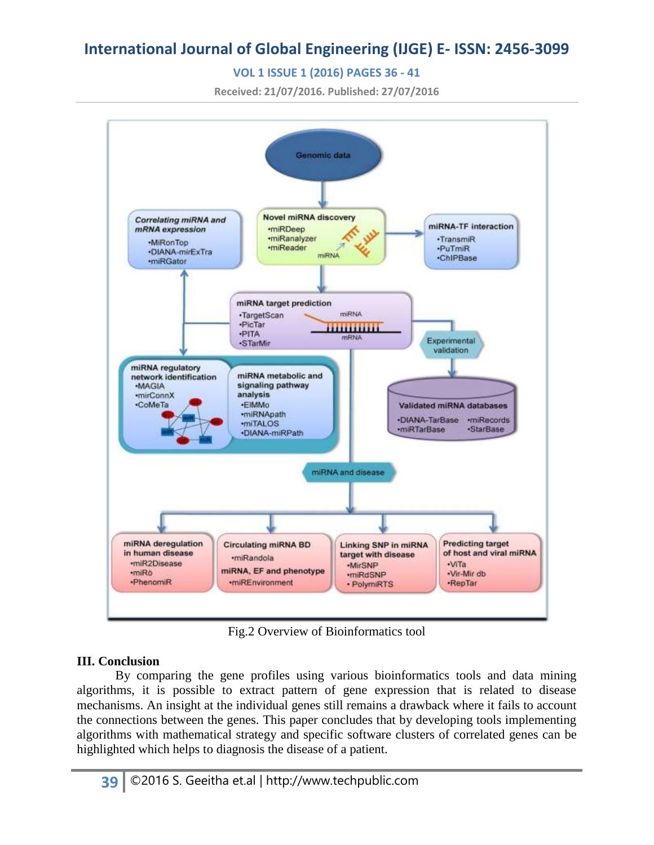## **VOL 1 ISSUE 1 (2016) PAGES 36 - 41**

**Received: 21/07/2016. Published: 27/07/2016**



Fig.2 Overview of Bioinformatics tool

## **III. Conclusion**

By comparing the gene profiles using various bioinformatics tools and data mining algorithms, it is possible to extract pattern of gene expression that is related to disease mechanisms. An insight at the individual genes still remains a drawback where it fails to account the connections between the genes. This paper concludes that by developing tools implementing algorithms with mathematical strategy and specific software clusters of correlated genes can be highlighted which helps to diagnosis the disease of a patient.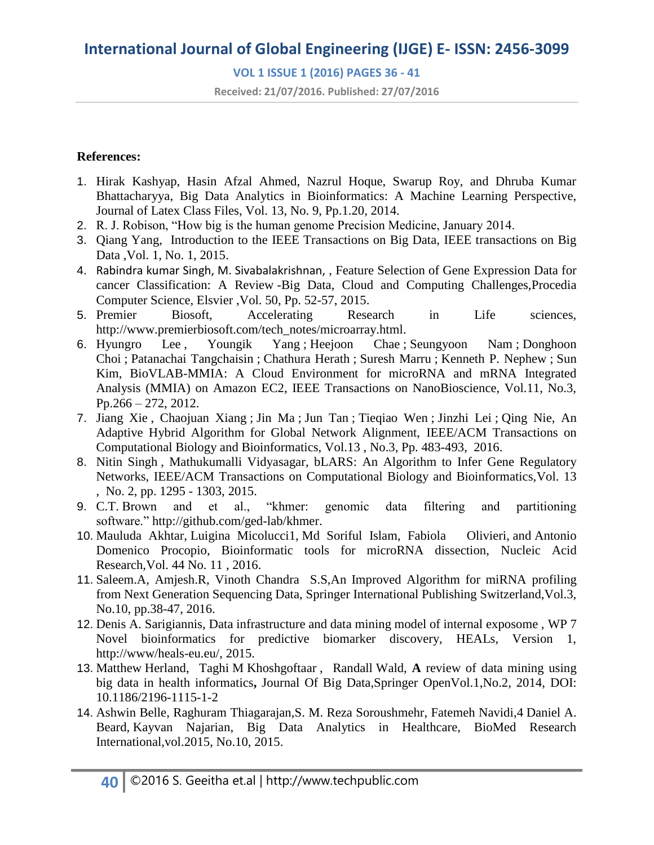## **VOL 1 ISSUE 1 (2016) PAGES 36 - 41**

**Received: 21/07/2016. Published: 27/07/2016**

#### **References:**

- 1. Hirak Kashyap, Hasin Afzal Ahmed, Nazrul Hoque, Swarup Roy, and Dhruba Kumar Bhattacharyya, Big Data Analytics in Bioinformatics: A Machine Learning Perspective, Journal of Latex Class Files, Vol. 13, No. 9, Pp.1.20, 2014.
- 2. R. J. Robison, "How big is the human genome Precision Medicine, January 2014.
- 3. Qiang Yang, Introduction to the IEEE Transactions on Big Data, IEEE transactions on Big Data ,Vol. 1, No. 1, 2015.
- 4. Rabindra kumar Singh, M. Sivabalakrishnan, , Feature Selection of Gene Expression Data for cancer Classification: A Review -Big Data, Cloud and Computing Challenges[,Procedia](http://www.sciencedirect.com/science/journal/18770509)  [Computer Science,](http://www.sciencedirect.com/science/journal/18770509) Elsvier [,Vol. 50,](http://www.sciencedirect.com/science/journal/18770509/50/supp/C) Pp. 52-57, 2015.
- 5. Premier Biosoft, Accelerating Research in Life sciences, [http://www.premierbiosoft.com/tech\\_notes/microarray.html.](http://www.premierbiosoft.com/tech_notes/microarray.html)
- 6. [Hyungro Lee](http://ieeexplore.ieee.org/search/searchresult.jsp?searchWithin=%22Authors%22:.QT.Hyungro%20Lee.QT.&newsearch=true) , [Youngik Yang](http://ieeexplore.ieee.org/search/searchresult.jsp?searchWithin=%22Authors%22:.QT.Youngik%20Yang.QT.&newsearch=true) ; [Heejoon Chae](http://ieeexplore.ieee.org/search/searchresult.jsp?searchWithin=%22Authors%22:.QT.Heejoon%20Chae.QT.&newsearch=true) ; [Seungyoon Nam](http://ieeexplore.ieee.org/search/searchresult.jsp?searchWithin=%22Authors%22:.QT.Seungyoon%20Nam.QT.&newsearch=true) ; [Donghoon](http://ieeexplore.ieee.org/search/searchresult.jsp?searchWithin=%22Authors%22:.QT.Donghoon%20Choi.QT.&newsearch=true)  [Choi](http://ieeexplore.ieee.org/search/searchresult.jsp?searchWithin=%22Authors%22:.QT.Donghoon%20Choi.QT.&newsearch=true) ; [Patanachai Tangchaisin](http://ieeexplore.ieee.org/search/searchresult.jsp?searchWithin=%22Authors%22:.QT.Patanachai%20Tangchaisin.QT.&newsearch=true) ; [Chathura Herath](http://ieeexplore.ieee.org/search/searchresult.jsp?searchWithin=%22Authors%22:.QT.Chathura%20Herath.QT.&newsearch=true) ; [Suresh Marru](http://ieeexplore.ieee.org/search/searchresult.jsp?searchWithin=%22Authors%22:.QT.Suresh%20Marru.QT.&newsearch=true) ; [Kenneth P. Nephew](http://ieeexplore.ieee.org/search/searchresult.jsp?searchWithin=%22Authors%22:.QT.Kenneth%20P.%20Nephew.QT.&newsearch=true) ; [Sun](http://ieeexplore.ieee.org/search/searchresult.jsp?searchWithin=%22Authors%22:.QT.Sun%20Kim.QT.&newsearch=true)  [Kim,](http://ieeexplore.ieee.org/search/searchresult.jsp?searchWithin=%22Authors%22:.QT.Sun%20Kim.QT.&newsearch=true) BioVLAB-MMIA: A Cloud Environment for microRNA and mRNA Integrated Analysis (MMIA) on Amazon EC2, IEEE Transactions on NanoBioscience, Vol.11, No.3, Pp.266 – 272, 2012.
- 7. [Jiang Xie](http://ieeexplore.ieee.org/search/searchresult.jsp?searchWithin=%22Authors%22:.QT.Jiang%20Xie.QT.&newsearch=true) , [Chaojuan Xiang](http://ieeexplore.ieee.org/search/searchresult.jsp?searchWithin=%22Authors%22:.QT.Chaojuan%20Xiang.QT.&newsearch=true) ; [Jin Ma](http://ieeexplore.ieee.org/search/searchresult.jsp?searchWithin=%22Authors%22:.QT.Jin%20Ma.QT.&newsearch=true) ; [Jun Tan](http://ieeexplore.ieee.org/search/searchresult.jsp?searchWithin=%22Authors%22:.QT.Jun%20Tan.QT.&newsearch=true) ; [Tieqiao Wen](http://ieeexplore.ieee.org/search/searchresult.jsp?searchWithin=%22Authors%22:.QT.Tieqiao%20Wen.QT.&newsearch=true) ; [Jinzhi Lei](http://ieeexplore.ieee.org/search/searchresult.jsp?searchWithin=%22Authors%22:.QT.Jinzhi%20Lei.QT.&newsearch=true) ; [Qing Nie,](http://ieeexplore.ieee.org/search/searchresult.jsp?searchWithin=%22Authors%22:.QT.Qing%20Nie.QT.&newsearch=true) An Adaptive Hybrid Algorithm for Global Network Alignment, [IEEE/ACM Transactions on](http://ieeexplore.ieee.org/xpl/RecentIssue.jsp?punumber=8857)  [Computational Biology and Bioinformatics, V](http://ieeexplore.ieee.org/xpl/RecentIssue.jsp?punumber=8857)ol.13 , No.3, Pp. 483-493, 2016.
- 8. [Nitin Singh](http://ieeexplore.ieee.org/search/searchresult.jsp?searchWithin=%22Authors%22:.QT.Nitin%20Singh.QT.&newsearch=true) , [Mathukumalli Vidyasagar,](http://ieeexplore.ieee.org/search/searchresult.jsp?searchWithin=%22Authors%22:.QT.Mathukumalli%20Vidyasagar.QT.&newsearch=true) bLARS: An Algorithm to Infer Gene Regulatory Networks, [IEEE/ACM Transactions on Computational Biology and Bioinformatics,V](http://ieeexplore.ieee.org/xpl/RecentIssue.jsp?punumber=8857)ol. 13 , No. 2, pp. 1295 - 1303, 2015.
- 9. C.T. Brown and et al., "khmer: genomic data filtering and partitioning software." [http://github.com/ged-lab/khmer.](http://github.com/ged-lab/khmer)
- 10. [Mauluda Akhtar,](http://nar.oxfordjournals.org/search?author1=Most+Mauluda+Akhtar&sortspec=date&submit=Submit) [Luigina Micolucci1,](http://nar.oxfordjournals.org/search?author1=Luigina+Micolucci&sortspec=date&submit=Submit) [Md Soriful Islam,](http://nar.oxfordjournals.org/search?author1=Md+Soriful+Islam&sortspec=date&submit=Submit) [Fabiola Olivieri,](http://nar.oxfordjournals.org/search?author1=Fabiola+Olivieri&sortspec=date&submit=Submit) and [Antonio](http://nar.oxfordjournals.org/search?author1=Antonio+Domenico+Procopio&sortspec=date&submit=Submit)  [Domenico Procopio,](http://nar.oxfordjournals.org/search?author1=Antonio+Domenico+Procopio&sortspec=date&submit=Submit) Bioinformatic tools for microRNA dissection, Nucleic Acid Research,Vol. 44 No. 11 , 2016.
- 11. Saleem.A, Amjesh.R, Vinoth Chandra S.S,An Improved Algorithm for miRNA profiling from Next Generation Sequencing Data, Springer International Publishing Switzerland,Vol.3, No.10, pp.38-47, 2016.
- 12. Denis A. Sarigiannis, Data infrastructure and data mining model of internal exposome , WP 7 Novel bioinformatics for predictive biomarker discovery, HEALs, Version 1, [http://www/heals-eu.eu/,](http://www/heals-eu.eu/) 2015.
- 13. Matthew Herland, Taghi M Khoshgoftaar , Randall Wald, **A** review of data mining using big data in health informatics**,** Journal Of Big Data,Springer OpenVol.1,No.2, 2014, DOI: 10.1186/2196-1115-1-2
- 14. [Ashwin Belle,](http://www.hindawi.com/19320381/) [Raghuram Thiagarajan,](http://www.hindawi.com/58720181/)[S. M. Reza Soroushmehr,](http://www.hindawi.com/78018279/) [Fatemeh Navidi,](http://www.hindawi.com/69847142/)4 [Daniel A.](http://www.hindawi.com/56369035/)  [Beard,](http://www.hindawi.com/56369035/) [Kayvan Najarian,](http://www.hindawi.com/87613053/) Big Data Analytics in Healthcare, BioMed Research International,vol.2015, No.10, 2015.